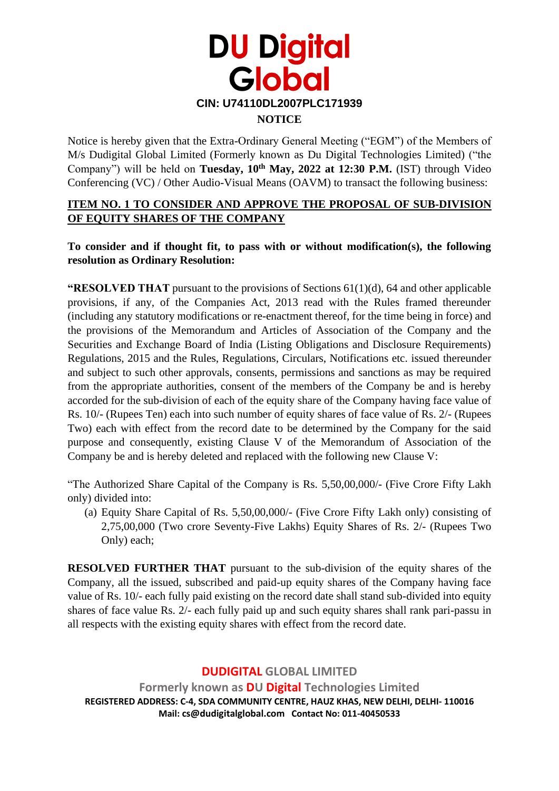

Notice is hereby given that the Extra-Ordinary General Meeting ("EGM") of the Members of M/s Dudigital Global Limited (Formerly known as Du Digital Technologies Limited) ("the Company") will be held on **Tuesday, 10th May, 2022 at 12:30 P.M.** (IST) through Video Conferencing (VC) / Other Audio-Visual Means (OAVM) to transact the following business:

#### **ITEM NO. 1 TO CONSIDER AND APPROVE THE PROPOSAL OF SUB-DIVISION OF EQUITY SHARES OF THE COMPANY**

**To consider and if thought fit, to pass with or without modification(s), the following resolution as Ordinary Resolution:**

**"RESOLVED THAT** pursuant to the provisions of Sections 61(1)(d), 64 and other applicable provisions, if any, of the Companies Act, 2013 read with the Rules framed thereunder (including any statutory modifications or re-enactment thereof, for the time being in force) and the provisions of the Memorandum and Articles of Association of the Company and the Securities and Exchange Board of India (Listing Obligations and Disclosure Requirements) Regulations, 2015 and the Rules, Regulations, Circulars, Notifications etc. issued thereunder and subject to such other approvals, consents, permissions and sanctions as may be required from the appropriate authorities, consent of the members of the Company be and is hereby accorded for the sub-division of each of the equity share of the Company having face value of Rs. 10/- (Rupees Ten) each into such number of equity shares of face value of Rs. 2/- (Rupees Two) each with effect from the record date to be determined by the Company for the said purpose and consequently, existing Clause V of the Memorandum of Association of the Company be and is hereby deleted and replaced with the following new Clause V:

"The Authorized Share Capital of the Company is Rs. 5,50,00,000/- (Five Crore Fifty Lakh only) divided into:

(a) Equity Share Capital of Rs. 5,50,00,000/- (Five Crore Fifty Lakh only) consisting of 2,75,00,000 (Two crore Seventy-Five Lakhs) Equity Shares of Rs. 2/- (Rupees Two Only) each;

**RESOLVED FURTHER THAT** pursuant to the sub-division of the equity shares of the Company, all the issued, subscribed and paid-up equity shares of the Company having face value of Rs. 10/- each fully paid existing on the record date shall stand sub-divided into equity shares of face value Rs. 2/- each fully paid up and such equity shares shall rank pari-passu in all respects with the existing equity shares with effect from the record date.

**DUDIGITAL GLOBAL LIMITED Formerly known as DU Digital Technologies Limited REGISTERED ADDRESS: C-4, SDA COMMUNITY CENTRE, HAUZ KHAS, NEW DELHI, DELHI- 110016 Mail: cs@dudigitalglobal.com Contact No: 011-40450533**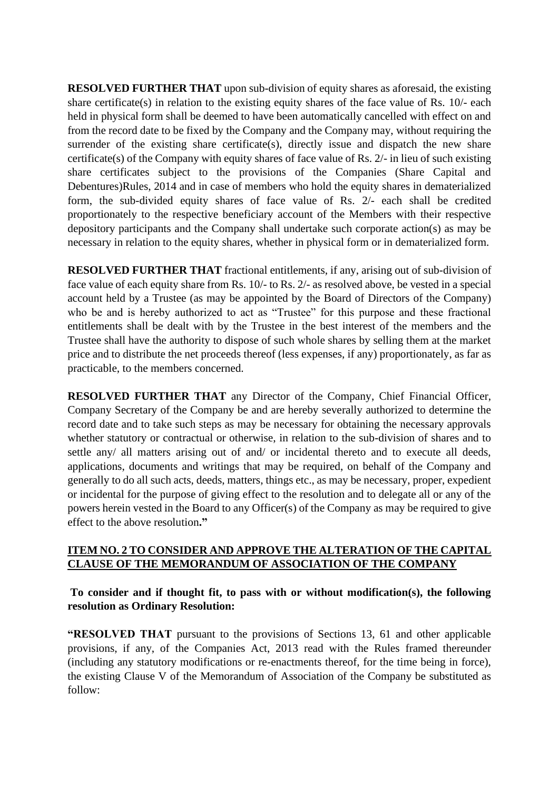**RESOLVED FURTHER THAT** upon sub-division of equity shares as aforesaid, the existing share certificate(s) in relation to the existing equity shares of the face value of Rs. 10/- each held in physical form shall be deemed to have been automatically cancelled with effect on and from the record date to be fixed by the Company and the Company may, without requiring the surrender of the existing share certificate(s), directly issue and dispatch the new share certificate(s) of the Company with equity shares of face value of Rs. 2/- in lieu of such existing share certificates subject to the provisions of the Companies (Share Capital and Debentures)Rules, 2014 and in case of members who hold the equity shares in dematerialized form, the sub-divided equity shares of face value of Rs. 2/- each shall be credited proportionately to the respective beneficiary account of the Members with their respective depository participants and the Company shall undertake such corporate action(s) as may be necessary in relation to the equity shares, whether in physical form or in dematerialized form.

**RESOLVED FURTHER THAT** fractional entitlements, if any, arising out of sub-division of face value of each equity share from Rs. 10/- to Rs. 2/- as resolved above, be vested in a special account held by a Trustee (as may be appointed by the Board of Directors of the Company) who be and is hereby authorized to act as "Trustee" for this purpose and these fractional entitlements shall be dealt with by the Trustee in the best interest of the members and the Trustee shall have the authority to dispose of such whole shares by selling them at the market price and to distribute the net proceeds thereof (less expenses, if any) proportionately, as far as practicable, to the members concerned.

**RESOLVED FURTHER THAT** any Director of the Company, Chief Financial Officer, Company Secretary of the Company be and are hereby severally authorized to determine the record date and to take such steps as may be necessary for obtaining the necessary approvals whether statutory or contractual or otherwise, in relation to the sub-division of shares and to settle any/ all matters arising out of and/ or incidental thereto and to execute all deeds, applications, documents and writings that may be required, on behalf of the Company and generally to do all such acts, deeds, matters, things etc., as may be necessary, proper, expedient or incidental for the purpose of giving effect to the resolution and to delegate all or any of the powers herein vested in the Board to any Officer(s) of the Company as may be required to give effect to the above resolution**."**

#### **ITEM NO. 2 TO CONSIDER AND APPROVE THE ALTERATION OF THE CAPITAL CLAUSE OF THE MEMORANDUM OF ASSOCIATION OF THE COMPANY**

**To consider and if thought fit, to pass with or without modification(s), the following resolution as Ordinary Resolution:**

**"RESOLVED THAT** pursuant to the provisions of Sections 13, 61 and other applicable provisions, if any, of the Companies Act, 2013 read with the Rules framed thereunder (including any statutory modifications or re-enactments thereof, for the time being in force), the existing Clause V of the Memorandum of Association of the Company be substituted as follow: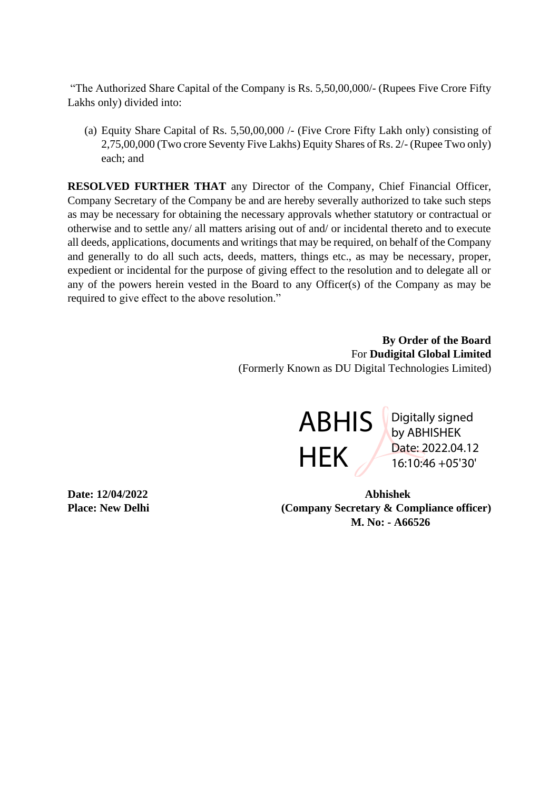"The Authorized Share Capital of the Company is Rs. 5,50,00,000/- (Rupees Five Crore Fifty Lakhs only) divided into:

(a) Equity Share Capital of Rs. 5,50,00,000 /- (Five Crore Fifty Lakh only) consisting of 2,75,00,000 (Two crore Seventy Five Lakhs) Equity Shares of Rs. 2/- (Rupee Two only) each; and

**RESOLVED FURTHER THAT** any Director of the Company, Chief Financial Officer, Company Secretary of the Company be and are hereby severally authorized to take such steps as may be necessary for obtaining the necessary approvals whether statutory or contractual or otherwise and to settle any/ all matters arising out of and/ or incidental thereto and to execute all deeds, applications, documents and writings that may be required, on behalf of the Company and generally to do all such acts, deeds, matters, things etc., as may be necessary, proper, expedient or incidental for the purpose of giving effect to the resolution and to delegate all or any of the powers herein vested in the Board to any Officer(s) of the Company as may be required to give effect to the above resolution."

> **By Order of the Board** For **Dudigital Global Limited** (Formerly Known as DU Digital Technologies Limited)



Digitally signed by ABHISHEK Date: 2022.04.12 16:10:46 +05'30'

**Date: 12/04/2022 Abhishek Place: New Delhi** (Company Secretary & Compliance officer)  **M. No: - A66526**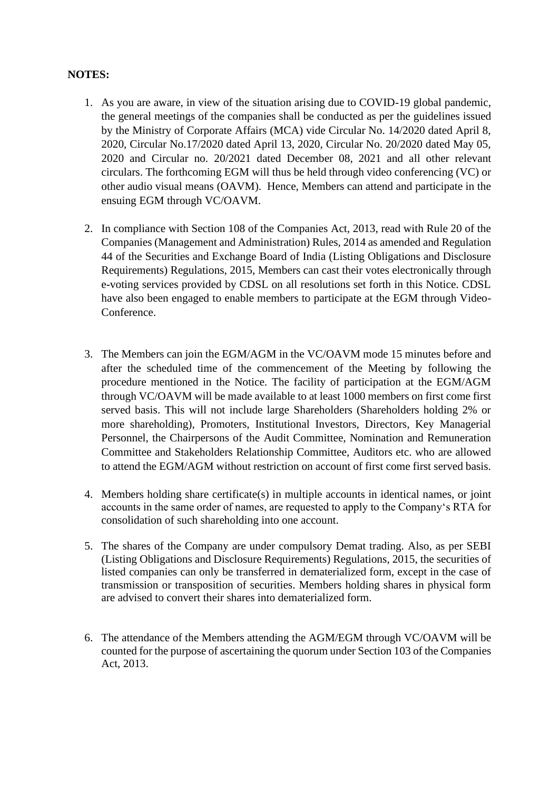#### **NOTES:**

- 1. As you are aware, in view of the situation arising due to COVID-19 global pandemic, the general meetings of the companies shall be conducted as per the guidelines issued by the Ministry of Corporate Affairs (MCA) vide Circular No. 14/2020 dated April 8, 2020, Circular No.17/2020 dated April 13, 2020, Circular No. 20/2020 dated May 05, 2020 and Circular no. 20/2021 dated December 08, 2021 and all other relevant circulars. The forthcoming EGM will thus be held through video conferencing (VC) or other audio visual means (OAVM). Hence, Members can attend and participate in the ensuing EGM through VC/OAVM.
- 2. In compliance with Section 108 of the Companies Act, 2013, read with Rule 20 of the Companies (Management and Administration) Rules, 2014 as amended and Regulation 44 of the Securities and Exchange Board of India (Listing Obligations and Disclosure Requirements) Regulations, 2015, Members can cast their votes electronically through e-voting services provided by CDSL on all resolutions set forth in this Notice. CDSL have also been engaged to enable members to participate at the EGM through Video-Conference.
- 3. The Members can join the EGM/AGM in the VC/OAVM mode 15 minutes before and after the scheduled time of the commencement of the Meeting by following the procedure mentioned in the Notice. The facility of participation at the EGM/AGM through VC/OAVM will be made available to at least 1000 members on first come first served basis. This will not include large Shareholders (Shareholders holding 2% or more shareholding), Promoters, Institutional Investors, Directors, Key Managerial Personnel, the Chairpersons of the Audit Committee, Nomination and Remuneration Committee and Stakeholders Relationship Committee, Auditors etc. who are allowed to attend the EGM/AGM without restriction on account of first come first served basis.
- 4. Members holding share certificate(s) in multiple accounts in identical names, or joint accounts in the same order of names, are requested to apply to the Company's RTA for consolidation of such shareholding into one account.
- 5. The shares of the Company are under compulsory Demat trading. Also, as per SEBI (Listing Obligations and Disclosure Requirements) Regulations, 2015, the securities of listed companies can only be transferred in dematerialized form, except in the case of transmission or transposition of securities. Members holding shares in physical form are advised to convert their shares into dematerialized form.
- 6. The attendance of the Members attending the AGM/EGM through VC/OAVM will be counted for the purpose of ascertaining the quorum under Section 103 of the Companies Act, 2013.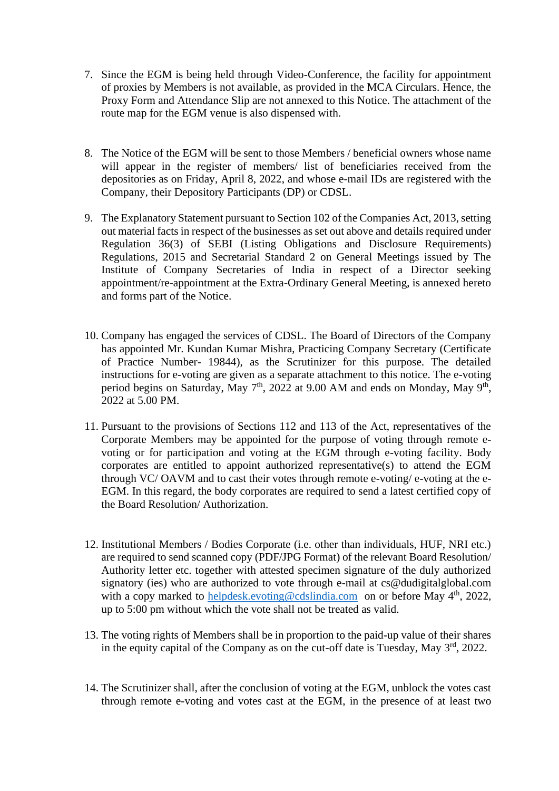- 7. Since the EGM is being held through Video-Conference, the facility for appointment of proxies by Members is not available, as provided in the MCA Circulars. Hence, the Proxy Form and Attendance Slip are not annexed to this Notice. The attachment of the route map for the EGM venue is also dispensed with.
- 8. The Notice of the EGM will be sent to those Members / beneficial owners whose name will appear in the register of members/ list of beneficiaries received from the depositories as on Friday, April 8, 2022, and whose e-mail IDs are registered with the Company, their Depository Participants (DP) or CDSL.
- 9. The Explanatory Statement pursuant to Section 102 of the Companies Act, 2013, setting out material facts in respect of the businesses as set out above and details required under Regulation 36(3) of SEBI (Listing Obligations and Disclosure Requirements) Regulations, 2015 and Secretarial Standard 2 on General Meetings issued by The Institute of Company Secretaries of India in respect of a Director seeking appointment/re-appointment at the Extra-Ordinary General Meeting, is annexed hereto and forms part of the Notice.
- 10. Company has engaged the services of CDSL. The Board of Directors of the Company has appointed Mr. Kundan Kumar Mishra, Practicing Company Secretary (Certificate of Practice Number- 19844), as the Scrutinizer for this purpose. The detailed instructions for e-voting are given as a separate attachment to this notice. The e-voting period begins on Saturday, May  $7<sup>th</sup>$ , 2022 at 9.00 AM and ends on Monday, May  $9<sup>th</sup>$ , 2022 at 5.00 PM.
- 11. Pursuant to the provisions of Sections 112 and 113 of the Act, representatives of the Corporate Members may be appointed for the purpose of voting through remote evoting or for participation and voting at the EGM through e-voting facility. Body corporates are entitled to appoint authorized representative(s) to attend the EGM through VC/ OAVM and to cast their votes through remote e-voting/ e-voting at the e-EGM. In this regard, the body corporates are required to send a latest certified copy of the Board Resolution/ Authorization.
- 12. Institutional Members / Bodies Corporate (i.e. other than individuals, HUF, NRI etc.) are required to send scanned copy (PDF/JPG Format) of the relevant Board Resolution/ Authority letter etc. together with attested specimen signature of the duly authorized signatory (ies) who are authorized to vote through e-mail at cs@dudigitalglobal.com with a copy marked to [helpdesk.evoting@cdslindia.com](mailto:helpdesk.evoting@cdslindia.com) on or before May 4<sup>th</sup>, 2022, up to 5:00 pm without which the vote shall not be treated as valid.
- 13. The voting rights of Members shall be in proportion to the paid-up value of their shares in the equity capital of the Company as on the cut-off date is Tuesday, May  $3<sup>rd</sup>$ , 2022.
- 14. The Scrutinizer shall, after the conclusion of voting at the EGM, unblock the votes cast through remote e-voting and votes cast at the EGM, in the presence of at least two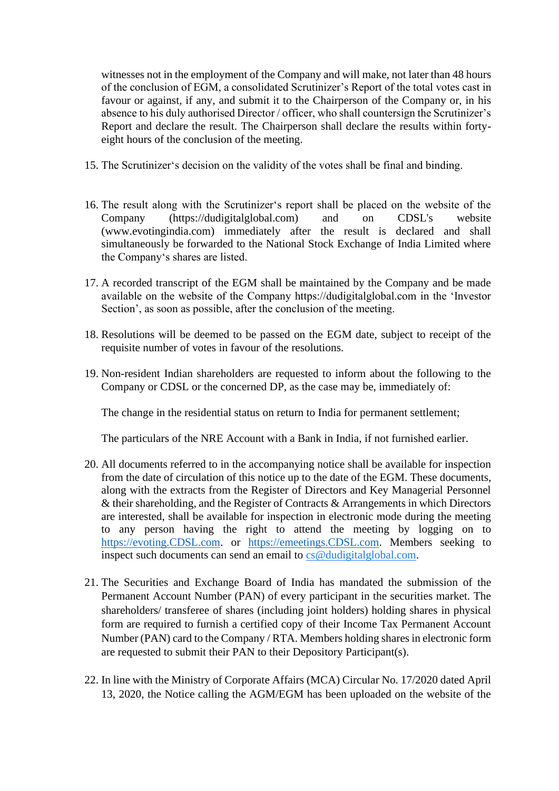witnesses not in the employment of the Company and will make, not later than 48 hours of the conclusion of EGM, a consolidated Scrutinizer's Report of the total votes cast in favour or against, if any, and submit it to the Chairperson of the Company or, in his absence to his duly authorised Director / officer, who shall countersign the Scrutinizer's Report and declare the result. The Chairperson shall declare the results within fortyeight hours of the conclusion of the meeting.

- 15. The Scrutinizer's decision on the validity of the votes shall be final and binding.
- 16. The result along with the Scrutinizer's report shall be placed on the website of the Company (https://dudigitalglobal.com) and on CDSL's website (www.evotingindia.com) immediately after the result is declared and shall simultaneously be forwarded to the National Stock Exchange of India Limited where the Company's shares are listed.
- 17. A recorded transcript of the EGM shall be maintained by the Company and be made available on the website of the Company https://dudigitalglobal.com in the 'Investor Section', as soon as possible, after the conclusion of the meeting.
- 18. Resolutions will be deemed to be passed on the EGM date, subject to receipt of the requisite number of votes in favour of the resolutions.
- 19. Non-resident Indian shareholders are requested to inform about the following to the Company or CDSL or the concerned DP, as the case may be, immediately of:

The change in the residential status on return to India for permanent settlement;

The particulars of the NRE Account with a Bank in India, if not furnished earlier.

- 20. All documents referred to in the accompanying notice shall be available for inspection from the date of circulation of this notice up to the date of the EGM. These documents, along with the extracts from the Register of Directors and Key Managerial Personnel & their shareholding, and the Register of Contracts & Arrangements in which Directors are interested, shall be available for inspection in electronic mode during the meeting to any person having the right to attend the meeting by logging on to [https://evoting.CDSL.com.](https://evoting.cdsl.com/) or [https://emeetings.CDSL.com.](https://emeetings.cdsl.com/) Members seeking to inspect such documents can send an email to [cs@dudigitalglobal.com.](mailto:cs@dudigitalglobal.com)
- 21. The Securities and Exchange Board of India has mandated the submission of the Permanent Account Number (PAN) of every participant in the securities market. The shareholders/ transferee of shares (including joint holders) holding shares in physical form are required to furnish a certified copy of their Income Tax Permanent Account Number (PAN) card to the Company / RTA. Members holding shares in electronic form are requested to submit their PAN to their Depository Participant(s).
- 22. In line with the Ministry of Corporate Affairs (MCA) Circular No. 17/2020 dated April 13, 2020, the Notice calling the AGM/EGM has been uploaded on the website of the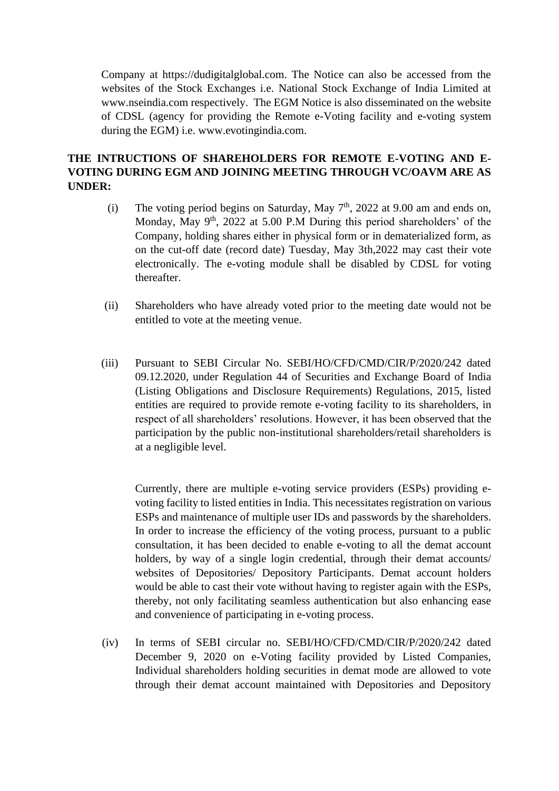Company at https://dudigitalglobal.com. The Notice can also be accessed from the websites of the Stock Exchanges i.e. National Stock Exchange of India Limited at www.nseindia.com respectively. The EGM Notice is also disseminated on the website of CDSL (agency for providing the Remote e-Voting facility and e-voting system during the EGM) i.e. www.evotingindia.com.

# **THE INTRUCTIONS OF SHAREHOLDERS FOR REMOTE E-VOTING AND E-VOTING DURING EGM AND JOINING MEETING THROUGH VC/OAVM ARE AS UNDER:**

- (i) The voting period begins on Saturday, May  $7<sup>th</sup>$ , 2022 at 9.00 am and ends on, Monday, May  $9<sup>th</sup>$ , 2022 at 5.00 P.M During this period shareholders' of the Company, holding shares either in physical form or in dematerialized form, as on the cut-off date (record date) Tuesday, May 3th,2022 may cast their vote electronically. The e-voting module shall be disabled by CDSL for voting thereafter.
- (ii) Shareholders who have already voted prior to the meeting date would not be entitled to vote at the meeting venue.
- (iii) Pursuant to SEBI Circular No. SEBI/HO/CFD/CMD/CIR/P/2020/242 dated 09.12.2020, under Regulation 44 of Securities and Exchange Board of India (Listing Obligations and Disclosure Requirements) Regulations, 2015, listed entities are required to provide remote e-voting facility to its shareholders, in respect of all shareholders' resolutions. However, it has been observed that the participation by the public non-institutional shareholders/retail shareholders is at a negligible level.

Currently, there are multiple e-voting service providers (ESPs) providing evoting facility to listed entities in India. This necessitates registration on various ESPs and maintenance of multiple user IDs and passwords by the shareholders. In order to increase the efficiency of the voting process, pursuant to a public consultation, it has been decided to enable e-voting to all the demat account holders, by way of a single login credential, through their demat accounts/ websites of Depositories/ Depository Participants. Demat account holders would be able to cast their vote without having to register again with the ESPs, thereby, not only facilitating seamless authentication but also enhancing ease and convenience of participating in e-voting process.

(iv) In terms of SEBI circular no. SEBI/HO/CFD/CMD/CIR/P/2020/242 dated December 9, 2020 on e-Voting facility provided by Listed Companies, Individual shareholders holding securities in demat mode are allowed to vote through their demat account maintained with Depositories and Depository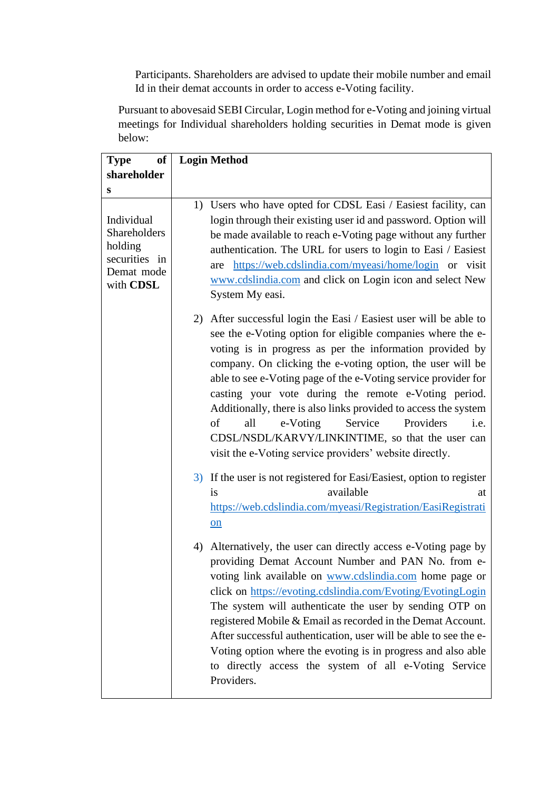Participants. Shareholders are advised to update their mobile number and email Id in their demat accounts in order to access e-Voting facility.

Pursuant to abovesaid SEBI Circular, Login method for e-Voting and joining virtual meetings for Individual shareholders holding securities in Demat mode is given below:

| <b>of</b><br><b>Type</b>                                                          | <b>Login Method</b>                                                                                                                                                                                                                                                                                                                                                                                                                                                                                                                                                                                                             |
|-----------------------------------------------------------------------------------|---------------------------------------------------------------------------------------------------------------------------------------------------------------------------------------------------------------------------------------------------------------------------------------------------------------------------------------------------------------------------------------------------------------------------------------------------------------------------------------------------------------------------------------------------------------------------------------------------------------------------------|
| shareholder                                                                       |                                                                                                                                                                                                                                                                                                                                                                                                                                                                                                                                                                                                                                 |
| S                                                                                 |                                                                                                                                                                                                                                                                                                                                                                                                                                                                                                                                                                                                                                 |
| Individual<br>Shareholders<br>holding<br>securities in<br>Demat mode<br>with CDSL | 1) Users who have opted for CDSL Easi / Easiest facility, can<br>login through their existing user id and password. Option will<br>be made available to reach e-Voting page without any further<br>authentication. The URL for users to login to Easi / Easiest<br>https://web.cdslindia.com/myeasi/home/login or visit<br>are<br>www.cdslindia.com and click on Login icon and select New<br>System My easi.                                                                                                                                                                                                                   |
|                                                                                   | 2) After successful login the Easi / Easiest user will be able to<br>see the e-Voting option for eligible companies where the e-<br>voting is in progress as per the information provided by<br>company. On clicking the e-voting option, the user will be<br>able to see e-Voting page of the e-Voting service provider for<br>casting your vote during the remote e-Voting period.<br>Additionally, there is also links provided to access the system<br>of<br>all<br>Service<br>e-Voting<br>Providers<br>i.e.<br>CDSL/NSDL/KARVY/LINKINTIME, so that the user can<br>visit the e-Voting service providers' website directly. |
|                                                                                   | 3) If the user is not registered for Easi/Easiest, option to register<br>available<br>is<br>at<br>https://web.cdslindia.com/myeasi/Registration/EasiRegistrati<br>on                                                                                                                                                                                                                                                                                                                                                                                                                                                            |
|                                                                                   | 4) Alternatively, the user can directly access e-Voting page by<br>providing Demat Account Number and PAN No. from e-<br>voting link available on www.cdslindia.com home page or<br>click on https://evoting.cdslindia.com/Evoting/EvotingLogin<br>The system will authenticate the user by sending OTP on<br>registered Mobile & Email as recorded in the Demat Account.<br>After successful authentication, user will be able to see the e-<br>Voting option where the evoting is in progress and also able<br>to directly access the system of all e-Voting Service<br>Providers.                                            |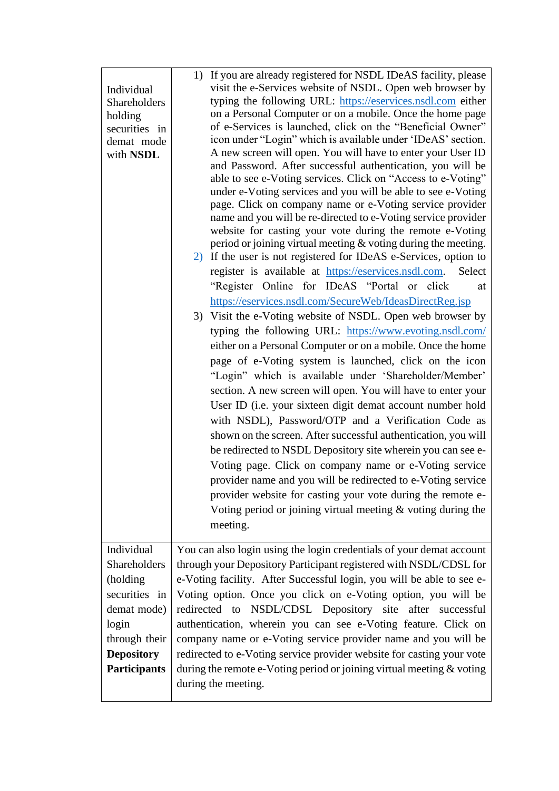| Individual<br><b>Shareholders</b><br>holding<br>securities in<br>demat mode<br>with NSDL                                                     | 1) If you are already registered for NSDL IDeAS facility, please<br>visit the e-Services website of NSDL. Open web browser by<br>typing the following URL: https://eservices.nsdl.com either<br>on a Personal Computer or on a mobile. Once the home page<br>of e-Services is launched, click on the "Beneficial Owner"<br>icon under "Login" which is available under 'IDeAS' section.<br>A new screen will open. You will have to enter your User ID<br>and Password. After successful authentication, you will be<br>able to see e-Voting services. Click on "Access to e-Voting"<br>under e-Voting services and you will be able to see e-Voting<br>page. Click on company name or e-Voting service provider<br>name and you will be re-directed to e-Voting service provider<br>website for casting your vote during the remote e-Voting<br>period or joining virtual meeting $&$ voting during the meeting.<br>2) If the user is not registered for IDeAS e-Services, option to<br>register is available at https://eservices.nsdl.com.<br>Select<br>"Register Online for IDeAS "Portal or click"<br>at<br>https://eservices.nsdl.com/SecureWeb/IdeasDirectReg.jsp<br>3) Visit the e-Voting website of NSDL. Open web browser by<br>typing the following URL: https://www.evoting.nsdl.com/<br>either on a Personal Computer or on a mobile. Once the home<br>page of e-Voting system is launched, click on the icon<br>"Login" which is available under 'Shareholder/Member'<br>section. A new screen will open. You will have to enter your<br>User ID (i.e. your sixteen digit demat account number hold<br>with NSDL), Password/OTP and a Verification Code as<br>shown on the screen. After successful authentication, you will<br>be redirected to NSDL Depository site wherein you can see e-<br>Voting page. Click on company name or e-Voting service<br>provider name and you will be redirected to e-Voting service<br>provider website for casting your vote during the remote e- |
|----------------------------------------------------------------------------------------------------------------------------------------------|-----------------------------------------------------------------------------------------------------------------------------------------------------------------------------------------------------------------------------------------------------------------------------------------------------------------------------------------------------------------------------------------------------------------------------------------------------------------------------------------------------------------------------------------------------------------------------------------------------------------------------------------------------------------------------------------------------------------------------------------------------------------------------------------------------------------------------------------------------------------------------------------------------------------------------------------------------------------------------------------------------------------------------------------------------------------------------------------------------------------------------------------------------------------------------------------------------------------------------------------------------------------------------------------------------------------------------------------------------------------------------------------------------------------------------------------------------------------------------------------------------------------------------------------------------------------------------------------------------------------------------------------------------------------------------------------------------------------------------------------------------------------------------------------------------------------------------------------------------------------------------------------------------------------------------------------------------------------------------------------------------|
|                                                                                                                                              | Voting period or joining virtual meeting $&$ voting during the<br>meeting.                                                                                                                                                                                                                                                                                                                                                                                                                                                                                                                                                                                                                                                                                                                                                                                                                                                                                                                                                                                                                                                                                                                                                                                                                                                                                                                                                                                                                                                                                                                                                                                                                                                                                                                                                                                                                                                                                                                          |
| Individual<br>Shareholders<br>(holding<br>securities in<br>demat mode)<br>login<br>through their<br><b>Depository</b><br><b>Participants</b> | You can also login using the login credentials of your demat account<br>through your Depository Participant registered with NSDL/CDSL for<br>e-Voting facility. After Successful login, you will be able to see e-<br>Voting option. Once you click on e-Voting option, you will be<br>redirected to NSDL/CDSL Depository site after successful<br>authentication, wherein you can see e-Voting feature. Click on<br>company name or e-Voting service provider name and you will be<br>redirected to e-Voting service provider website for casting your vote<br>during the remote e-Voting period or joining virtual meeting & voting<br>during the meeting.                                                                                                                                                                                                                                                                                                                                                                                                                                                                                                                                                                                                                                                                                                                                                                                                                                                                                                                                                                                                                                                                                                                                                                                                                                                                                                                                        |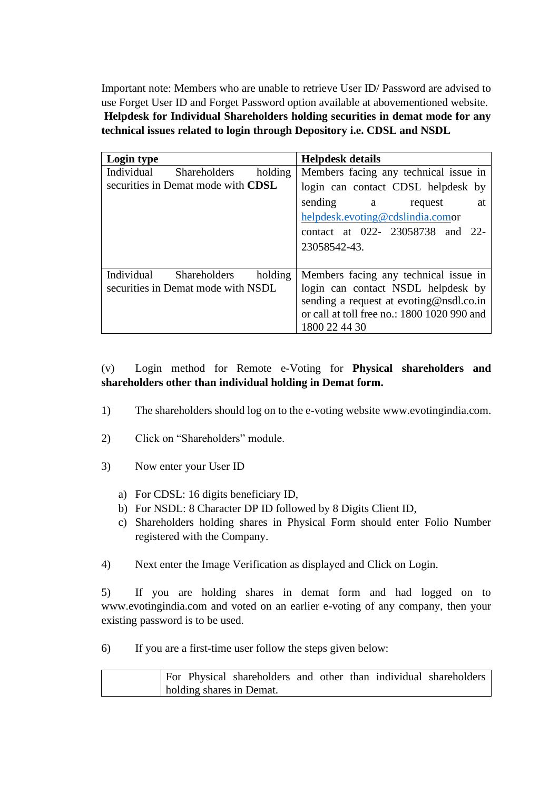Important note: Members who are unable to retrieve User ID/ Password are advised to use Forget User ID and Forget Password option available at abovementioned website. **Helpdesk for Individual Shareholders holding securities in demat mode for any technical issues related to login through Depository i.e. CDSL and NSDL**

| Login type                                   | <b>Helpdesk details</b>                     |  |  |  |  |
|----------------------------------------------|---------------------------------------------|--|--|--|--|
| Individual<br>Shareholders<br>holding        | Members facing any technical issue in       |  |  |  |  |
| securities in Demat mode with CDSL           | login can contact CDSL helpdesk by          |  |  |  |  |
|                                              | sending a<br>request<br>at                  |  |  |  |  |
|                                              | helpdesk.evoting@cdslindia.comor            |  |  |  |  |
|                                              | contact at 022- 23058738 and 22-            |  |  |  |  |
|                                              | 23058542-43.                                |  |  |  |  |
|                                              |                                             |  |  |  |  |
| Individual<br><b>Shareholders</b><br>holding | Members facing any technical issue in       |  |  |  |  |
| securities in Demat mode with NSDL           | login can contact NSDL helpdesk by          |  |  |  |  |
|                                              | sending a request at evoting@nsdl.co.in     |  |  |  |  |
|                                              | or call at toll free no.: 1800 1020 990 and |  |  |  |  |
|                                              | 1800 22 44 30                               |  |  |  |  |

# (v) Login method for Remote e-Voting for **Physical shareholders and shareholders other than individual holding in Demat form.**

- 1) The shareholders should log on to the e-voting website www.evotingindia.com.
- 2) Click on "Shareholders" module.
- 3) Now enter your User ID
	- a) For CDSL: 16 digits beneficiary ID,
	- b) For NSDL: 8 Character DP ID followed by 8 Digits Client ID,
	- c) Shareholders holding shares in Physical Form should enter Folio Number registered with the Company.
- 4) Next enter the Image Verification as displayed and Click on Login.

5) If you are holding shares in demat form and had logged on to www.evotingindia.com and voted on an earlier e-voting of any company, then your existing password is to be used.

6) If you are a first-time user follow the steps given below:

|  |                          |  |  | For Physical shareholders and other than individual shareholders |
|--|--------------------------|--|--|------------------------------------------------------------------|
|  | holding shares in Demat. |  |  |                                                                  |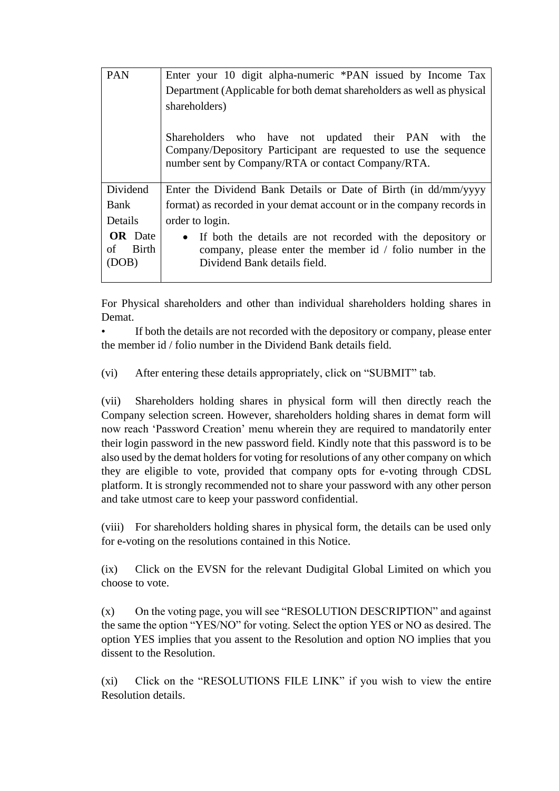| <b>PAN</b>                             | Enter your 10 digit alpha-numeric *PAN issued by Income Tax                                                                                                                    |
|----------------------------------------|--------------------------------------------------------------------------------------------------------------------------------------------------------------------------------|
|                                        | Department (Applicable for both demat shareholders as well as physical                                                                                                         |
|                                        | shareholders)                                                                                                                                                                  |
|                                        | Shareholders who have not updated their PAN with the<br>Company/Depository Participant are requested to use the sequence<br>number sent by Company/RTA or contact Company/RTA. |
| Dividend                               | Enter the Dividend Bank Details or Date of Birth (in dd/mm/yyyy                                                                                                                |
| Bank                                   | format) as recorded in your demat account or in the company records in                                                                                                         |
| Details                                | order to login.                                                                                                                                                                |
| <b>OR</b> Date<br>Birth<br>οf<br>(DOB) | If both the details are not recorded with the depository or<br>company, please enter the member id $\prime$ folio number in the<br>Dividend Bank details field.                |

For Physical shareholders and other than individual shareholders holding shares in Demat.

• If both the details are not recorded with the depository or company, please enter the member id / folio number in the Dividend Bank details field.

(vi) After entering these details appropriately, click on "SUBMIT" tab.

(vii) Shareholders holding shares in physical form will then directly reach the Company selection screen. However, shareholders holding shares in demat form will now reach 'Password Creation' menu wherein they are required to mandatorily enter their login password in the new password field. Kindly note that this password is to be also used by the demat holders for voting for resolutions of any other company on which they are eligible to vote, provided that company opts for e-voting through CDSL platform. It is strongly recommended not to share your password with any other person and take utmost care to keep your password confidential.

(viii) For shareholders holding shares in physical form, the details can be used only for e-voting on the resolutions contained in this Notice.

(ix) Click on the EVSN for the relevant Dudigital Global Limited on which you choose to vote.

(x) On the voting page, you will see "RESOLUTION DESCRIPTION" and against the same the option "YES/NO" for voting. Select the option YES or NO as desired. The option YES implies that you assent to the Resolution and option NO implies that you dissent to the Resolution.

(xi) Click on the "RESOLUTIONS FILE LINK" if you wish to view the entire Resolution details.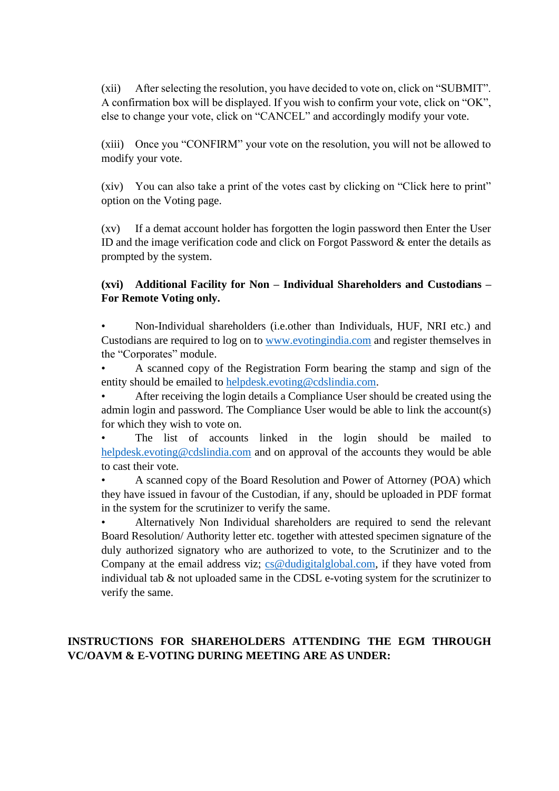(xii) After selecting the resolution, you have decided to vote on, click on "SUBMIT". A confirmation box will be displayed. If you wish to confirm your vote, click on "OK", else to change your vote, click on "CANCEL" and accordingly modify your vote.

(xiii) Once you "CONFIRM" your vote on the resolution, you will not be allowed to modify your vote.

(xiv) You can also take a print of the votes cast by clicking on "Click here to print" option on the Voting page.

(xv) If a demat account holder has forgotten the login password then Enter the User ID and the image verification code and click on Forgot Password & enter the details as prompted by the system.

# **(xvi) Additional Facility for Non – Individual Shareholders and Custodians – For Remote Voting only.**

• Non-Individual shareholders (i.e.other than Individuals, HUF, NRI etc.) and Custodians are required to log on to [www.evotingindia.com](http://www.evotingindia.com/) and register themselves in the "Corporates" module.

• A scanned copy of the Registration Form bearing the stamp and sign of the entity should be emailed to [helpdesk.evoting@cdslindia.com.](mailto:helpdesk.evoting@cdslindia.com)

• After receiving the login details a Compliance User should be created using the admin login and password. The Compliance User would be able to link the account(s) for which they wish to vote on.

The list of accounts linked in the login should be mailed to [helpdesk.evoting@cdslindia.com](mailto:helpdesk.evoting@cdslindia.com) and on approval of the accounts they would be able to cast their vote.

• A scanned copy of the Board Resolution and Power of Attorney (POA) which they have issued in favour of the Custodian, if any, should be uploaded in PDF format in the system for the scrutinizer to verify the same.

• Alternatively Non Individual shareholders are required to send the relevant Board Resolution/ Authority letter etc. together with attested specimen signature of the duly authorized signatory who are authorized to vote, to the Scrutinizer and to the Company at the email address viz; [cs@dudigitalglobal.com,](mailto:cs@dudigitalglobal.com) if they have voted from individual tab & not uploaded same in the CDSL e-voting system for the scrutinizer to verify the same.

# **INSTRUCTIONS FOR SHAREHOLDERS ATTENDING THE EGM THROUGH VC/OAVM & E-VOTING DURING MEETING ARE AS UNDER:**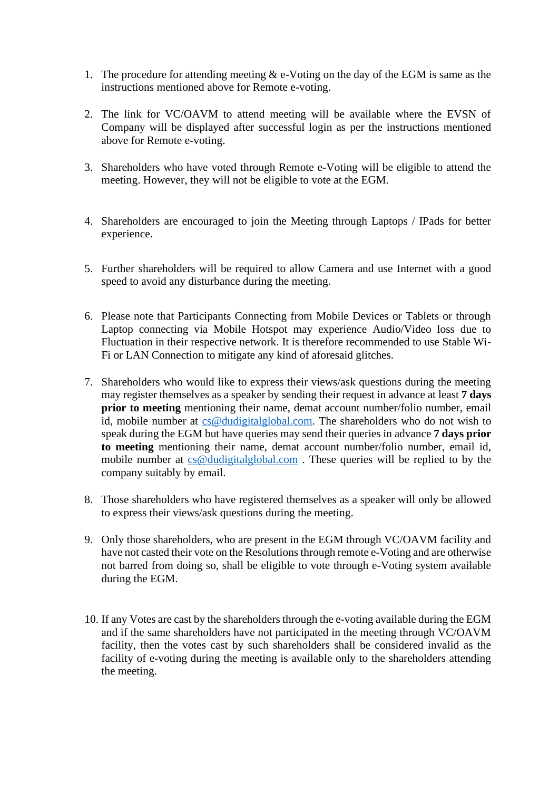- 1. The procedure for attending meeting  $&$  e-Voting on the day of the EGM is same as the instructions mentioned above for Remote e-voting.
- 2. The link for VC/OAVM to attend meeting will be available where the EVSN of Company will be displayed after successful login as per the instructions mentioned above for Remote e-voting.
- 3. Shareholders who have voted through Remote e-Voting will be eligible to attend the meeting. However, they will not be eligible to vote at the EGM.
- 4. Shareholders are encouraged to join the Meeting through Laptops / IPads for better experience.
- 5. Further shareholders will be required to allow Camera and use Internet with a good speed to avoid any disturbance during the meeting.
- 6. Please note that Participants Connecting from Mobile Devices or Tablets or through Laptop connecting via Mobile Hotspot may experience Audio/Video loss due to Fluctuation in their respective network. It is therefore recommended to use Stable Wi-Fi or LAN Connection to mitigate any kind of aforesaid glitches.
- 7. Shareholders who would like to express their views/ask questions during the meeting may register themselves as a speaker by sending their request in advance at least **7 days prior to meeting** mentioning their name, demat account number/folio number, email id, mobile number at [cs@dudigitalglobal.com.](mailto:cs@dudigitalglobal.com) The shareholders who do not wish to speak during the EGM but have queries may send their queries in advance **7 days prior to meeting** mentioning their name, demat account number/folio number, email id, mobile number at [cs@dudigitalglobal.com](mailto:cs@dudigitalglobal.com) . These queries will be replied to by the company suitably by email.
- 8. Those shareholders who have registered themselves as a speaker will only be allowed to express their views/ask questions during the meeting.
- 9. Only those shareholders, who are present in the EGM through VC/OAVM facility and have not casted their vote on the Resolutions through remote e-Voting and are otherwise not barred from doing so, shall be eligible to vote through e-Voting system available during the EGM.
- 10. If any Votes are cast by the shareholders through the e-voting available during the EGM and if the same shareholders have not participated in the meeting through VC/OAVM facility, then the votes cast by such shareholders shall be considered invalid as the facility of e-voting during the meeting is available only to the shareholders attending the meeting.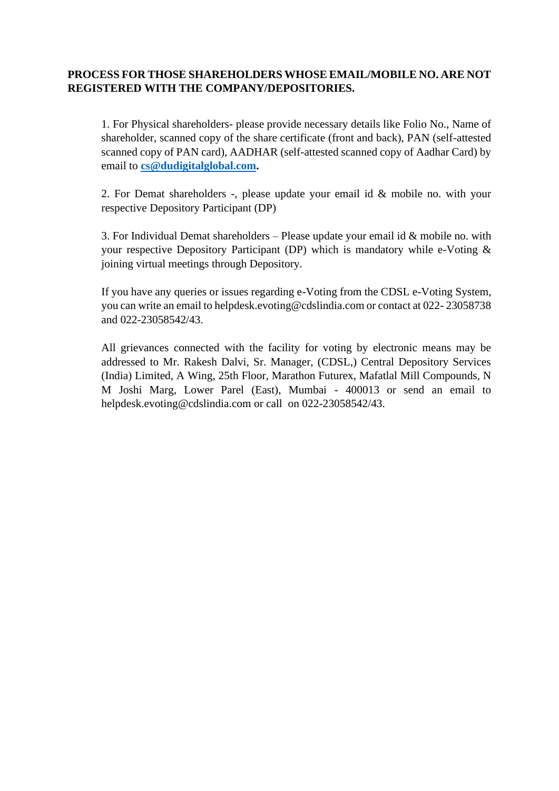#### **PROCESS FOR THOSE SHAREHOLDERS WHOSE EMAIL/MOBILE NO. ARE NOT REGISTERED WITH THE COMPANY/DEPOSITORIES.**

1. For Physical shareholders- please provide necessary details like Folio No., Name of shareholder, scanned copy of the share certificate (front and back), PAN (self-attested scanned copy of PAN card), AADHAR (self-attested scanned copy of Aadhar Card) by email to **[cs@dudigitalglobal.com.](mailto:cs@dudigitalglobal.com)**

2. For Demat shareholders -, please update your email id & mobile no. with your respective Depository Participant (DP)

3. For Individual Demat shareholders – Please update your email id  $&$  mobile no. with your respective Depository Participant (DP) which is mandatory while e-Voting & joining virtual meetings through Depository.

If you have any queries or issues regarding e-Voting from the CDSL e-Voting System, you can write an email to helpdesk.evoting@cdslindia.com or contact at 022- 23058738 and 022-23058542/43.

All grievances connected with the facility for voting by electronic means may be addressed to Mr. Rakesh Dalvi, Sr. Manager, (CDSL,) Central Depository Services (India) Limited, A Wing, 25th Floor, Marathon Futurex, Mafatlal Mill Compounds, N M Joshi Marg, Lower Parel (East), Mumbai - 400013 or send an email to helpdesk.evoting@cdslindia.com or call on 022-23058542/43.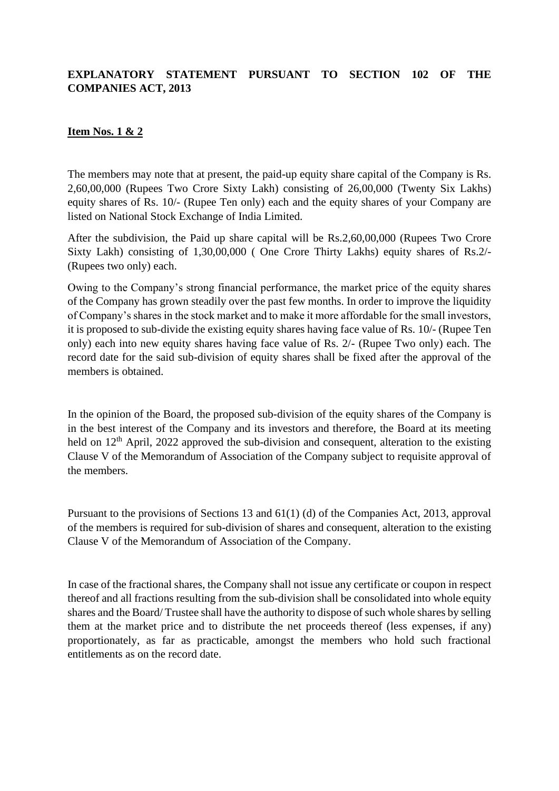# **EXPLANATORY STATEMENT PURSUANT TO SECTION 102 OF THE COMPANIES ACT, 2013**

#### **Item Nos. 1 & 2**

The members may note that at present, the paid-up equity share capital of the Company is Rs. 2,60,00,000 (Rupees Two Crore Sixty Lakh) consisting of 26,00,000 (Twenty Six Lakhs) equity shares of Rs. 10/- (Rupee Ten only) each and the equity shares of your Company are listed on National Stock Exchange of India Limited.

After the subdivision, the Paid up share capital will be Rs.2,60,00,000 (Rupees Two Crore Sixty Lakh) consisting of 1,30,00,000 ( One Crore Thirty Lakhs) equity shares of Rs.2/- (Rupees two only) each.

Owing to the Company's strong financial performance, the market price of the equity shares of the Company has grown steadily over the past few months. In order to improve the liquidity of Company's shares in the stock market and to make it more affordable for the small investors, it is proposed to sub-divide the existing equity shares having face value of Rs. 10/- (Rupee Ten only) each into new equity shares having face value of Rs. 2/- (Rupee Two only) each. The record date for the said sub-division of equity shares shall be fixed after the approval of the members is obtained.

In the opinion of the Board, the proposed sub-division of the equity shares of the Company is in the best interest of the Company and its investors and therefore, the Board at its meeting held on  $12<sup>th</sup>$  April, 2022 approved the sub-division and consequent, alteration to the existing Clause V of the Memorandum of Association of the Company subject to requisite approval of the members.

Pursuant to the provisions of Sections 13 and 61(1) (d) of the Companies Act, 2013, approval of the members is required for sub-division of shares and consequent, alteration to the existing Clause V of the Memorandum of Association of the Company.

In case of the fractional shares, the Company shall not issue any certificate or coupon in respect thereof and all fractions resulting from the sub-division shall be consolidated into whole equity shares and the Board/ Trustee shall have the authority to dispose of such whole shares by selling them at the market price and to distribute the net proceeds thereof (less expenses, if any) proportionately, as far as practicable, amongst the members who hold such fractional entitlements as on the record date.